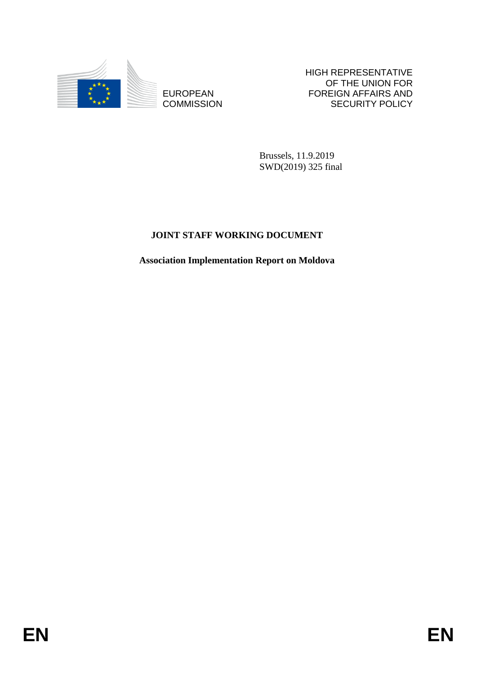

**COMMISSION** 

HIGH REPRESENTATIVE OF THE UNION FOR FOREIGN AFFAIRS AND SECURITY POLICY

Brussels, 11.9.2019 SWD(2019) 325 final

# **JOINT STAFF WORKING DOCUMENT**

EUROPEAN FOREIGN FOREIGN FRANS AND FOREIGN AFFAIRS AND COMMISSION<br>
ENGLISHED A NEW YORKING DOCUMENT<br>
JOLYT STAFF WORKING DOCUMENT<br>
Association Implementation Report on Moldora<br>
FIN **Association Implementation Report on Moldova**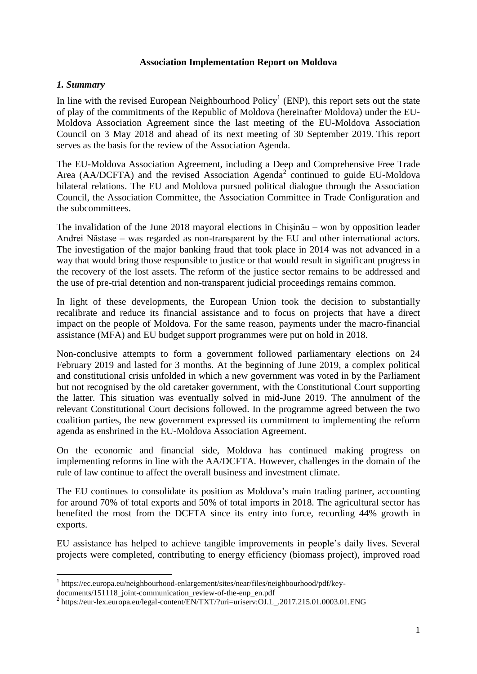#### **Association Implementation Report on Moldova**

#### *1. Summary*

In line with the revised European Neighbourhood  $Policy<sup>1</sup>$  (ENP), this report sets out the state of play of the commitments of the Republic of Moldova (hereinafter Moldova) under the EU-Moldova Association Agreement since the last meeting of the EU-Moldova Association Council on 3 May 2018 and ahead of its next meeting of 30 September 2019. This report serves as the basis for the review of the Association Agenda.

The EU-Moldova Association Agreement, including a Deep and Comprehensive Free Trade Area (AA/DCFTA) and the revised Association Agenda<sup>2</sup> continued to guide EU-Moldova bilateral relations. The EU and Moldova pursued political dialogue through the Association Council, the Association Committee, the Association Committee in Trade Configuration and the subcommittees.

The invalidation of the June 2018 mayoral elections in Chişinău – won by opposition leader Andrei Năstase – was regarded as non-transparent by the EU and other international actors. The investigation of the major banking fraud that took place in 2014 was not advanced in a way that would bring those responsible to justice or that would result in significant progress in the recovery of the lost assets. The reform of the justice sector remains to be addressed and the use of pre-trial detention and non-transparent judicial proceedings remains common.

In light of these developments, the European Union took the decision to substantially recalibrate and reduce its financial assistance and to focus on projects that have a direct impact on the people of Moldova. For the same reason, payments under the macro-financial assistance (MFA) and EU budget support programmes were put on hold in 2018.

Non-conclusive attempts to form a government followed parliamentary elections on 24 February 2019 and lasted for 3 months. At the beginning of June 2019, a complex political and constitutional crisis unfolded in which a new government was voted in by the Parliament but not recognised by the old caretaker government, with the Constitutional Court supporting the latter. This situation was eventually solved in mid-June 2019. The annulment of the relevant Constitutional Court decisions followed. In the programme agreed between the two coalition parties, the new government expressed its commitment to implementing the reform agenda as enshrined in the EU-Moldova Association Agreement.

On the economic and financial side, Moldova has continued making progress on implementing reforms in line with the AA/DCFTA. However, challenges in the domain of the rule of law continue to affect the overall business and investment climate.

The EU continues to consolidate its position as Moldova's main trading partner, accounting for around 70% of total exports and 50% of total imports in 2018. The agricultural sector has benefited the most from the DCFTA since its entry into force, recording 44% growth in exports.

EU assistance has helped to achieve tangible improvements in people's daily lives. Several projects were completed, contributing to energy efficiency (biomass project), improved road

 $\overline{a}$ 

<sup>&</sup>lt;sup>1</sup> https://ec.europa.eu/neighbourhood-enlargement/sites/near/files/neighbourhood/pdf/key-

documents/151118\_joint-communication\_review-of-the-enp\_en.pdf

<sup>&</sup>lt;sup>2</sup> https://eur-lex.europa.eu/legal-content/EN/TXT/?uri=uriserv:OJ.L\_.2017.215.01.0003.01.ENG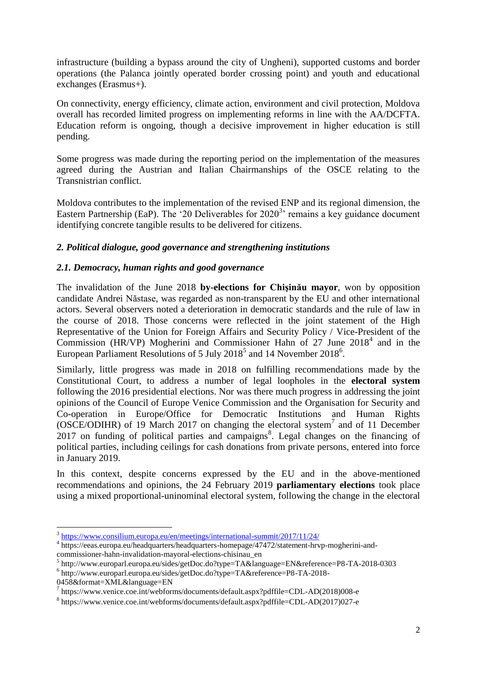infrastructure (building a bypass around the city of Ungheni), supported customs and border operations (the Palanca jointly operated border crossing point) and youth and educational exchanges (Erasmus+).

On connectivity, energy efficiency, climate action, environment and civil protection, Moldova overall has recorded limited progress on implementing reforms in line with the AA/DCFTA. Education reform is ongoing, though a decisive improvement in higher education is still pending.

Some progress was made during the reporting period on the implementation of the measures agreed during the Austrian and Italian Chairmanships of the OSCE relating to the Transnistrian conflict.

Moldova contributes to the implementation of the revised ENP and its regional dimension, the Eastern Partnership (EaP). The '20 Deliverables for  $2020<sup>3</sup>$  remains a key guidance document identifying concrete tangible results to be delivered for citizens.

## *2. Political dialogue, good governance and strengthening institutions*

## *2.1. Democracy, human rights and good governance*

The invalidation of the June 2018 **by-elections for Chişinău mayor**, won by opposition candidate Andrei Năstase, was regarded as non-transparent by the EU and other international actors. Several observers noted a deterioration in democratic standards and the rule of law in the course of 2018. Those concerns were reflected in the joint statement of the High Representative of the Union for Foreign Affairs and Security Policy / Vice-President of the Commission (HR/VP) Mogherini and Commissioner Hahn of  $27$  June  $2018<sup>4</sup>$  and in the European Parliament Resolutions of 5 July 2018<sup>5</sup> and 14 November 2018<sup>6</sup>.

Similarly, little progress was made in 2018 on fulfilling recommendations made by the Constitutional Court, to address a number of legal loopholes in the **electoral system** following the 2016 presidential elections. Nor was there much progress in addressing the joint opinions of the Council of Europe Venice Commission and the Organisation for Security and Co-operation in Europe/Office for Democratic Institutions and Human Rights (OSCE/ODIHR) of 19 March 2017 on changing the electoral system<sup>7</sup> and of 11 December  $2017$  on funding of political parties and campaigns<sup>8</sup>. Legal changes on the financing of political parties, including ceilings for cash donations from private persons, entered into force in January 2019.

In this context, despite concerns expressed by the EU and in the above-mentioned recommendations and opinions, the 24 February 2019 **parliamentary elections** took place using a mixed proportional-uninominal electoral system, following the change in the electoral

**<sup>.</sup>** <sup>3</sup> <https://www.consilium.europa.eu/en/meetings/international-summit/2017/11/24/>

<sup>4</sup> https://eeas.europa.eu/headquarters/headquarters-homepage/47472/statement-hrvp-mogherini-andcommissioner-hahn-invalidation-mayoral-elections-chisinau\_en

<sup>5</sup> http://www.europarl.europa.eu/sides/getDoc.do?type=TA&language=EN&reference=P8-TA-2018-0303

<sup>6</sup> http://www.europarl.europa.eu/sides/getDoc.do?type=TA&reference=P8-TA-2018- 0458&format=XML&language=EN

<sup>7</sup> https://www.venice.coe.int/webforms/documents/default.aspx?pdffile=CDL-AD(2018)008-e

<sup>8</sup> https://www.venice.coe.int/webforms/documents/default.aspx?pdffile=CDL-AD(2017)027-e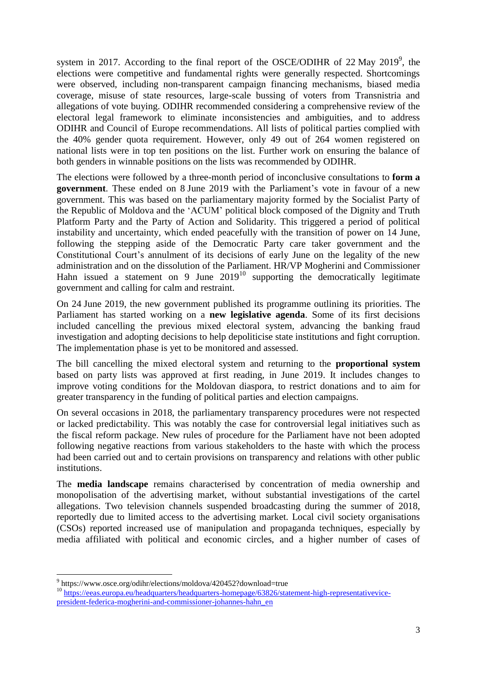system in 2017. According to the final report of the OSCE/ODIHR of 22 May 2019<sup>9</sup>, the elections were competitive and fundamental rights were generally respected. Shortcomings were observed, including non-transparent campaign financing mechanisms, biased media coverage, misuse of state resources, large-scale bussing of voters from Transnistria and allegations of vote buying. ODIHR recommended considering a comprehensive review of the electoral legal framework to eliminate inconsistencies and ambiguities, and to address ODIHR and Council of Europe recommendations. All lists of political parties complied with the 40% gender quota requirement. However, only 49 out of 264 women registered on national lists were in top ten positions on the list. Further work on ensuring the balance of both genders in winnable positions on the lists was recommended by ODIHR.

The elections were followed by a three-month period of inconclusive consultations to **form a government**. These ended on 8 June 2019 with the Parliament's vote in favour of a new government. This was based on the parliamentary majority formed by the Socialist Party of the Republic of Moldova and the 'ACUM' political block composed of the Dignity and Truth Platform Party and the Party of Action and Solidarity. This triggered a period of political instability and uncertainty, which ended peacefully with the transition of power on 14 June, following the stepping aside of the Democratic Party care taker government and the Constitutional Court's annulment of its decisions of early June on the legality of the new administration and on the dissolution of the Parliament. HR/VP Mogherini and Commissioner Hahn issued a statement on 9 June  $2019<sup>10</sup>$  supporting the democratically legitimate government and calling for calm and restraint.

On 24 June 2019, the new government published its programme outlining its priorities. The Parliament has started working on a **new legislative agenda**. Some of its first decisions included cancelling the previous mixed electoral system, advancing the banking fraud investigation and adopting decisions to help depoliticise state institutions and fight corruption. The implementation phase is yet to be monitored and assessed.

The bill cancelling the mixed electoral system and returning to the **proportional system** based on party lists was approved at first reading, in June 2019. It includes changes to improve voting conditions for the Moldovan diaspora, to restrict donations and to aim for greater transparency in the funding of political parties and election campaigns.

On several occasions in 2018, the parliamentary transparency procedures were not respected or lacked predictability. This was notably the case for controversial legal initiatives such as the fiscal reform package. New rules of procedure for the Parliament have not been adopted following negative reactions from various stakeholders to the haste with which the process had been carried out and to certain provisions on transparency and relations with other public institutions.

The **media landscape** remains characterised by concentration of media ownership and monopolisation of the advertising market, without substantial investigations of the cartel allegations. Two television channels suspended broadcasting during the summer of 2018, reportedly due to limited access to the advertising market. Local civil society organisations (CSOs) reported increased use of manipulation and propaganda techniques, especially by media affiliated with political and economic circles, and a higher number of cases of

 $\overline{a}$ 

<sup>&</sup>lt;sup>9</sup> https://www.osce.org/odihr/elections/moldova/420452?download=true

<sup>10</sup> [https://eeas.europa.eu/headquarters/headquarters-homepage/63826/statement-high-representativevice](https://eeas.europa.eu/headquarters/headquarters-homepage/63826/statement-high-representativevice-president-federica-mogherini-and-commissioner-johannes-hahn_en)[president-federica-mogherini-and-commissioner-johannes-hahn\\_en](https://eeas.europa.eu/headquarters/headquarters-homepage/63826/statement-high-representativevice-president-federica-mogherini-and-commissioner-johannes-hahn_en)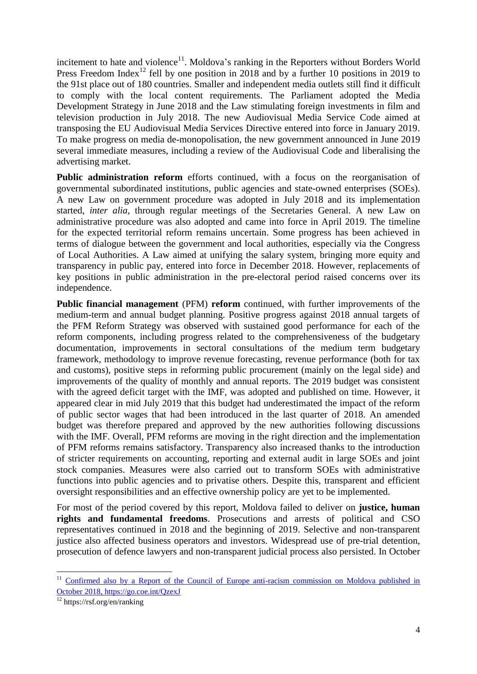incitement to hate and violence<sup>11</sup>. Moldova's ranking in the Reporters without Borders World Press Freedom Index<sup>12</sup> fell by one position in 2018 and by a further 10 positions in 2019 to the 91st place out of 180 countries. Smaller and independent media outlets still find it difficult to comply with the local content requirements. The Parliament adopted the Media Development Strategy in June 2018 and the Law stimulating foreign investments in film and television production in July 2018. The new Audiovisual Media Service Code aimed at transposing the EU Audiovisual Media Services Directive entered into force in January 2019. To make progress on media de-monopolisation, the new government announced in June 2019 several immediate measures, including a review of the Audiovisual Code and liberalising the advertising market.

**Public administration reform** efforts continued, with a focus on the reorganisation of governmental subordinated institutions, public agencies and state-owned enterprises (SOEs). A new Law on government procedure was adopted in July 2018 and its implementation started, *inter alia*, through regular meetings of the Secretaries General. A new Law on administrative procedure was also adopted and came into force in April 2019. The timeline for the expected territorial reform remains uncertain. Some progress has been achieved in terms of dialogue between the government and local authorities, especially via the Congress of Local Authorities. A Law aimed at unifying the salary system, bringing more equity and transparency in public pay, entered into force in December 2018. However, replacements of key positions in public administration in the pre-electoral period raised concerns over its independence.

**Public financial management** (PFM) **reform** continued, with further improvements of the medium-term and annual budget planning. Positive progress against 2018 annual targets of the PFM Reform Strategy was observed with sustained good performance for each of the reform components, including progress related to the comprehensiveness of the budgetary documentation, improvements in sectoral consultations of the medium term budgetary framework, methodology to improve revenue forecasting, revenue performance (both for tax and customs), positive steps in reforming public procurement (mainly on the legal side) and improvements of the quality of monthly and annual reports. The 2019 budget was consistent with the agreed deficit target with the IMF, was adopted and published on time. However, it appeared clear in mid July 2019 that this budget had underestimated the impact of the reform of public sector wages that had been introduced in the last quarter of 2018. An amended budget was therefore prepared and approved by the new authorities following discussions with the IMF. Overall, PFM reforms are moving in the right direction and the implementation of PFM reforms remains satisfactory. Transparency also increased thanks to the introduction of stricter requirements on accounting, reporting and external audit in large SOEs and joint stock companies. Measures were also carried out to transform SOEs with administrative functions into public agencies and to privatise others. Despite this, transparent and efficient oversight responsibilities and an effective ownership policy are yet to be implemented.

For most of the period covered by this report, Moldova failed to deliver on **justice, human rights and fundamental freedoms**. Prosecutions and arrests of political and CSO representatives continued in 2018 and the beginning of 2019. Selective and non-transparent justice also affected business operators and investors. Widespread use of pre-trial detention, prosecution of defence lawyers and non-transparent judicial process also persisted. In October

1

<sup>&</sup>lt;sup>11</sup> Confirmed also by a Report of the Council of Europe anti-racism commission on Moldova published in October 2018[, https://go.coe.int/QzexJ](https://go.coe.int/QzexJ)

 $12$  https://rsf.org/en/ranking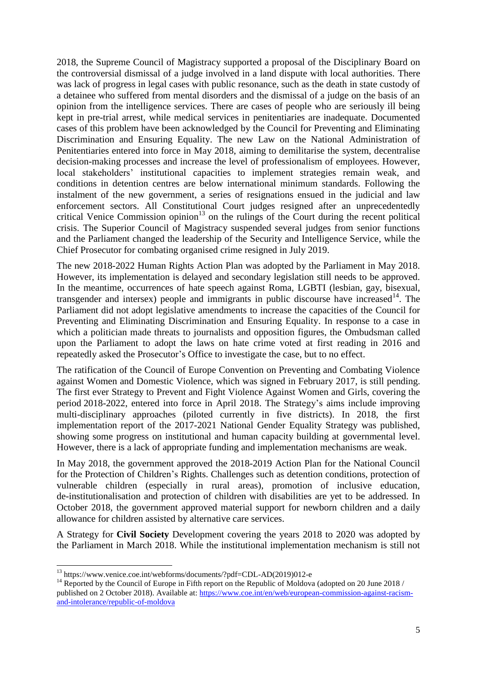2018, the Supreme Council of Magistracy supported a proposal of the Disciplinary Board on the controversial dismissal of a judge involved in a land dispute with local authorities. There was lack of progress in legal cases with public resonance, such as the death in state custody of a detainee who suffered from mental disorders and the dismissal of a judge on the basis of an opinion from the intelligence services. There are cases of people who are seriously ill being kept in pre-trial arrest, while medical services in penitentiaries are inadequate. Documented cases of this problem have been acknowledged by the Council for Preventing and Eliminating Discrimination and Ensuring Equality. The new Law on the National Administration of Penitentiaries entered into force in May 2018, aiming to demilitarise the system, decentralise decision-making processes and increase the level of professionalism of employees. However, local stakeholders' institutional capacities to implement strategies remain weak, and conditions in detention centres are below international minimum standards. Following the instalment of the new government, a series of resignations ensued in the judicial and law enforcement sectors. All Constitutional Court judges resigned after an unprecedentedly critical Venice Commission opinion<sup>13</sup> on the rulings of the Court during the recent political crisis. The Superior Council of Magistracy suspended several judges from senior functions and the Parliament changed the leadership of the Security and Intelligence Service, while the Chief Prosecutor for combating organised crime resigned in July 2019.

The new 2018-2022 Human Rights Action Plan was adopted by the Parliament in May 2018. However, its implementation is delayed and secondary legislation still needs to be approved. In the meantime, occurrences of hate speech against Roma, LGBTI (lesbian, gay, bisexual, transgender and intersex) people and immigrants in public discourse have increased<sup>14</sup>. The Parliament did not adopt legislative amendments to increase the capacities of the Council for Preventing and Eliminating Discrimination and Ensuring Equality. In response to a case in which a politician made threats to journalists and opposition figures, the Ombudsman called upon the Parliament to adopt the laws on hate crime voted at first reading in 2016 and repeatedly asked the Prosecutor's Office to investigate the case, but to no effect.

The ratification of the Council of Europe Convention on Preventing and Combating Violence against Women and Domestic Violence, which was signed in February 2017, is still pending. The first ever Strategy to Prevent and Fight Violence Against Women and Girls, covering the period 2018-2022, entered into force in April 2018. The Strategy's aims include improving multi-disciplinary approaches (piloted currently in five districts). In 2018, the first implementation report of the 2017-2021 National Gender Equality Strategy was published, showing some progress on institutional and human capacity building at governmental level. However, there is a lack of appropriate funding and implementation mechanisms are weak.

In May 2018, the government approved the 2018-2019 Action Plan for the National Council for the Protection of Children's Rights. Challenges such as detention conditions, protection of vulnerable children (especially in rural areas), promotion of inclusive education, de-institutionalisation and protection of children with disabilities are yet to be addressed. In October 2018, the government approved material support for newborn children and a daily allowance for children assisted by alternative care services.

A Strategy for **Civil Society** Development covering the years 2018 to 2020 was adopted by the Parliament in March 2018. While the institutional implementation mechanism is still not

**.** 

<sup>&</sup>lt;sup>13</sup> https://www.venice.coe.int/webforms/documents/?pdf=CDL-AD(2019)012-e

<sup>&</sup>lt;sup>14</sup> Reported by the Council of Europe in Fifth report on the Republic of Moldova (adopted on 20 June 2018 / published on 2 October 2018). Available at: [https://www.coe.int/en/web/european-commission-against-racism](https://www.coe.int/en/web/european-commission-against-racism-and-intolerance/republic-of-moldova)[and-intolerance/republic-of-moldova](https://www.coe.int/en/web/european-commission-against-racism-and-intolerance/republic-of-moldova)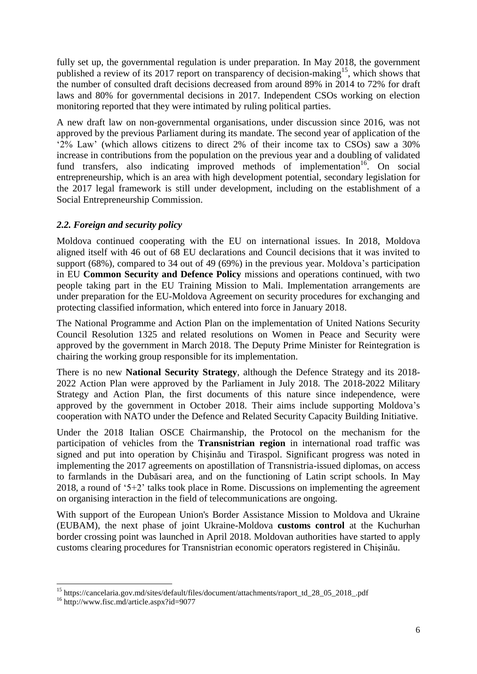fully set up, the governmental regulation is under preparation. In May 2018, the government published a review of its 2017 report on transparency of decision-making<sup>15</sup>, which shows that the number of consulted draft decisions decreased from around 89% in 2014 to 72% for draft laws and 80% for governmental decisions in 2017. Independent CSOs working on election monitoring reported that they were intimated by ruling political parties.

A new draft law on non-governmental organisations, under discussion since 2016, was not approved by the previous Parliament during its mandate. The second year of application of the '2% Law' (which allows citizens to direct 2% of their income tax to CSOs) saw a 30% increase in contributions from the population on the previous year and a doubling of validated fund transfers, also indicating improved methods of implementation<sup>16</sup>. On social entrepreneurship, which is an area with high development potential, secondary legislation for the 2017 legal framework is still under development, including on the establishment of a Social Entrepreneurship Commission.

## *2.2. Foreign and security policy*

Moldova continued cooperating with the EU on international issues. In 2018, Moldova aligned itself with 46 out of 68 EU declarations and Council decisions that it was invited to support (68%), compared to 34 out of 49 (69%) in the previous year. Moldova's participation in EU **Common Security and Defence Policy** missions and operations continued, with two people taking part in the EU Training Mission to Mali. Implementation arrangements are under preparation for the EU-Moldova Agreement on security procedures for exchanging and protecting classified information, which entered into force in January 2018.

The National Programme and Action Plan on the implementation of United Nations Security Council Resolution 1325 and related resolutions on Women in Peace and Security were approved by the government in March 2018. The Deputy Prime Minister for Reintegration is chairing the working group responsible for its implementation.

There is no new **National Security Strategy**, although the Defence Strategy and its 2018- 2022 Action Plan were approved by the Parliament in July 2018. The 2018-2022 Military Strategy and Action Plan, the first documents of this nature since independence, were approved by the government in October 2018. Their aims include supporting Moldova's cooperation with NATO under the Defence and Related Security Capacity Building Initiative.

Under the 2018 Italian OSCE Chairmanship, the Protocol on the mechanism for the participation of vehicles from the **Transnistrian region** in international road traffic was signed and put into operation by Chişinău and Tiraspol. Significant progress was noted in implementing the 2017 agreements on apostillation of Transnistria-issued diplomas, on access to farmlands in the Dubăsari area, and on the functioning of Latin script schools. In May 2018, a round of '5+2' talks took place in Rome. Discussions on implementing the agreement on organising interaction in the field of telecommunications are ongoing.

With support of the European Union's Border Assistance Mission to Moldova and Ukraine (EUBAM), the next phase of joint Ukraine-Moldova **customs control** at the Kuchurhan border crossing point was launched in April 2018. Moldovan authorities have started to apply customs clearing procedures for Transnistrian economic operators registered in Chişinău.

<sup>1</sup> <sup>15</sup> https://cancelaria.gov.md/sites/default/files/document/attachments/raport\_td\_28\_05\_2018\_pdf

<sup>16</sup> http://www.fisc.md/article.aspx?id=9077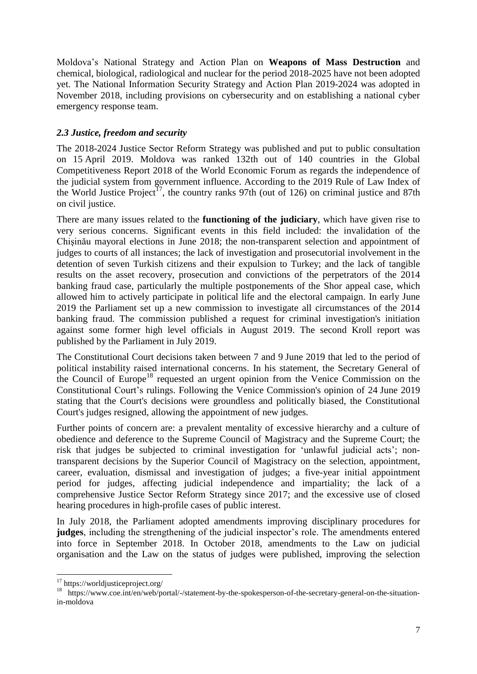Moldova's National Strategy and Action Plan on **Weapons of Mass Destruction** and chemical, biological, radiological and nuclear for the period 2018-2025 have not been adopted yet. The National Information Security Strategy and Action Plan 2019-2024 was adopted in November 2018, including provisions on cybersecurity and on establishing a national cyber emergency response team.

## *2.3 Justice, freedom and security*

The 2018-2024 Justice Sector Reform Strategy was published and put to public consultation on 15 April 2019. Moldova was ranked 132th out of 140 countries in the Global Competitiveness Report 2018 of the World Economic Forum as regards the independence of the judicial system from government influence. According to the 2019 Rule of Law Index of the World Justice Project<sup>17</sup>, the country ranks 97th (out of 126) on criminal justice and 87th on civil justice.

There are many issues related to the **functioning of the judiciary**, which have given rise to very serious concerns. Significant events in this field included: the invalidation of the Chişinău mayoral elections in June 2018; the non-transparent selection and appointment of judges to courts of all instances; the lack of investigation and prosecutorial involvement in the detention of seven Turkish citizens and their expulsion to Turkey; and the lack of tangible results on the asset recovery, prosecution and convictions of the perpetrators of the 2014 banking fraud case, particularly the multiple postponements of the Shor appeal case, which allowed him to actively participate in political life and the electoral campaign. In early June 2019 the Parliament set up a new commission to investigate all circumstances of the 2014 banking fraud. The commission published a request for criminal investigation's initiation against some former high level officials in August 2019. The second Kroll report was published by the Parliament in July 2019.

The Constitutional Court decisions taken between 7 and 9 June 2019 that led to the period of political instability raised international concerns. In his statement, the Secretary General of the Council of Europe<sup>18</sup> requested an urgent opinion from the Venice Commission on the Constitutional Court's rulings. Following the Venice Commission's opinion of 24 June 2019 stating that the Court's decisions were groundless and politically biased, the Constitutional Court's judges resigned, allowing the appointment of new judges.

Further points of concern are: a prevalent mentality of excessive hierarchy and a culture of obedience and deference to the Supreme Council of Magistracy and the Supreme Court; the risk that judges be subjected to criminal investigation for 'unlawful judicial acts'; nontransparent decisions by the Superior Council of Magistracy on the selection, appointment, career, evaluation, dismissal and investigation of judges; a five-year initial appointment period for judges, affecting judicial independence and impartiality; the lack of a comprehensive Justice Sector Reform Strategy since 2017; and the excessive use of closed hearing procedures in high-profile cases of public interest.

In July 2018, the Parliament adopted amendments improving disciplinary procedures for **judges**, including the strengthening of the judicial inspector's role. The amendments entered into force in September 2018. In October 2018, amendments to the Law on judicial organisation and the Law on the status of judges were published, improving the selection

 $\overline{a}$ 

<sup>&</sup>lt;sup>17</sup> https://worldjusticeproject.org/

<sup>&</sup>lt;sup>18</sup> https://www.coe.int/en/web/portal/-/statement-by-the-spokesperson-of-the-secretary-general-on-the-situationin-moldova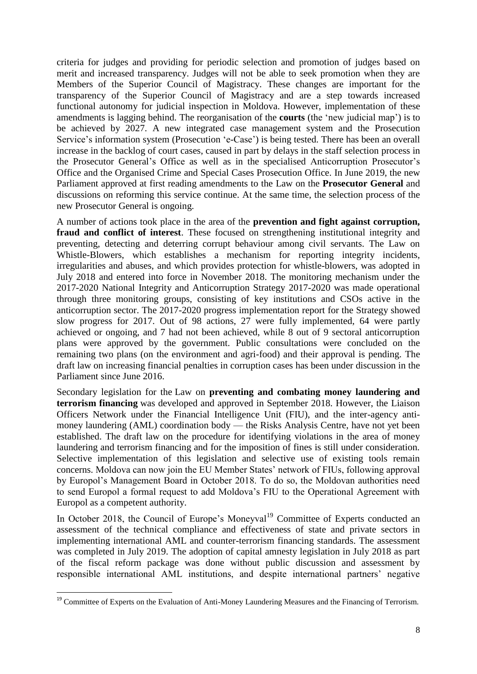criteria for judges and providing for periodic selection and promotion of judges based on merit and increased transparency. Judges will not be able to seek promotion when they are Members of the Superior Council of Magistracy. These changes are important for the transparency of the Superior Council of Magistracy and are a step towards increased functional autonomy for judicial inspection in Moldova. However, implementation of these amendments is lagging behind. The reorganisation of the **courts** (the 'new judicial map') is to be achieved by 2027. A new integrated case management system and the Prosecution Service's information system (Prosecution 'e-Case') is being tested. There has been an overall increase in the backlog of court cases, caused in part by delays in the staff selection process in the Prosecutor General's Office as well as in the specialised Anticorruption Prosecutor's Office and the Organised Crime and Special Cases Prosecution Office. In June 2019, the new Parliament approved at first reading amendments to the Law on the **Prosecutor General** and discussions on reforming this service continue. At the same time, the selection process of the new Prosecutor General is ongoing.

A number of actions took place in the area of the **prevention and fight against corruption, fraud and conflict of interest**. These focused on strengthening institutional integrity and preventing, detecting and deterring corrupt behaviour among civil servants. The Law on Whistle-Blowers, which establishes a mechanism for reporting integrity incidents, irregularities and abuses, and which provides protection for whistle-blowers, was adopted in July 2018 and entered into force in November 2018. The monitoring mechanism under the 2017-2020 National Integrity and Anticorruption Strategy 2017-2020 was made operational through three monitoring groups, consisting of key institutions and CSOs active in the anticorruption sector. The 2017-2020 progress implementation report for the Strategy showed slow progress for 2017. Out of 98 actions, 27 were fully implemented, 64 were partly achieved or ongoing, and 7 had not been achieved, while 8 out of 9 sectoral anticorruption plans were approved by the government. Public consultations were concluded on the remaining two plans (on the environment and agri-food) and their approval is pending. The draft law on increasing financial penalties in corruption cases has been under discussion in the Parliament since June 2016.

Secondary legislation for the Law on **preventing and combating money laundering and terrorism financing** was developed and approved in September 2018. However, the Liaison Officers Network under the Financial Intelligence Unit (FIU), and the inter-agency antimoney laundering (AML) coordination body — the Risks Analysis Centre, have not yet been established. The draft law on the procedure for identifying violations in the area of money laundering and terrorism financing and for the imposition of fines is still under consideration. Selective implementation of this legislation and selective use of existing tools remain concerns. Moldova can now join the EU Member States' network of FIUs, following approval by Europol's Management Board in October 2018. To do so, the Moldovan authorities need to send Europol a formal request to add Moldova's FIU to the Operational Agreement with Europol as a competent authority.

In October 2018, the Council of Europe's Moneyval<sup>19</sup> Committee of Experts conducted an assessment of the technical compliance and effectiveness of state and private sectors in implementing international AML and counter-terrorism financing standards. The assessment was completed in July 2019. The adoption of capital amnesty legislation in July 2018 as part of the fiscal reform package was done without public discussion and assessment by responsible international AML institutions, and despite international partners' negative

1

<sup>&</sup>lt;sup>19</sup> Committee of Experts on the Evaluation of Anti-Money Laundering Measures and the Financing of Terrorism.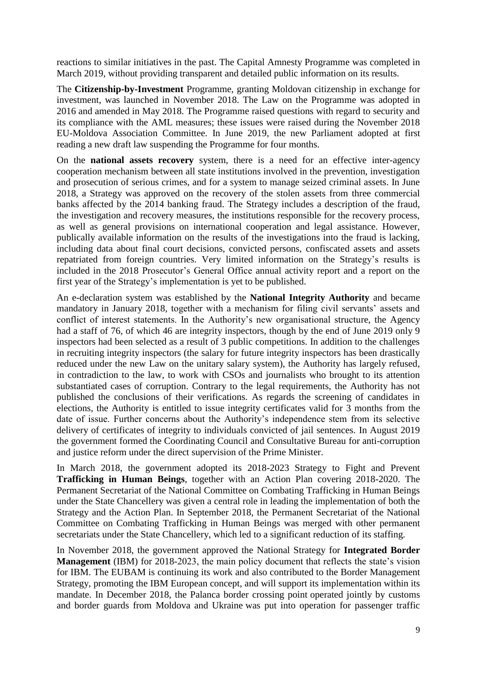reactions to similar initiatives in the past. The Capital Amnesty Programme was completed in March 2019, without providing transparent and detailed public information on its results.

The **Citizenship-by-Investment** Programme, granting Moldovan citizenship in exchange for investment, was launched in November 2018. The Law on the Programme was adopted in 2016 and amended in May 2018. The Programme raised questions with regard to security and its compliance with the AML measures; these issues were raised during the November 2018 EU-Moldova Association Committee. In June 2019, the new Parliament adopted at first reading a new draft law suspending the Programme for four months.

On the **national assets recovery** system, there is a need for an effective inter-agency cooperation mechanism between all state institutions involved in the prevention, investigation and prosecution of serious crimes, and for a system to manage seized criminal assets. In June 2018, a Strategy was approved on the recovery of the stolen assets from three commercial banks affected by the 2014 banking fraud. The Strategy includes a description of the fraud, the investigation and recovery measures, the institutions responsible for the recovery process, as well as general provisions on international cooperation and legal assistance. However, publically available information on the results of the investigations into the fraud is lacking, including data about final court decisions, convicted persons, confiscated assets and assets repatriated from foreign countries. Very limited information on the Strategy's results is included in the 2018 Prosecutor's General Office annual activity report and a report on the first year of the Strategy's implementation is yet to be published.

An e-declaration system was established by the **National Integrity Authority** and became mandatory in January 2018, together with a mechanism for filing civil servants' assets and conflict of interest statements. In the Authority's new organisational structure, the Agency had a staff of 76, of which 46 are integrity inspectors, though by the end of June 2019 only 9 inspectors had been selected as a result of 3 public competitions. In addition to the challenges in recruiting integrity inspectors (the salary for future integrity inspectors has been drastically reduced under the new Law on the unitary salary system), the Authority has largely refused, in contradiction to the law, to work with CSOs and journalists who brought to its attention substantiated cases of corruption. Contrary to the legal requirements, the Authority has not published the conclusions of their verifications. As regards the screening of candidates in elections, the Authority is entitled to issue integrity certificates valid for 3 months from the date of issue. Further concerns about the Authority's independence stem from its selective delivery of certificates of integrity to individuals convicted of jail sentences. In August 2019 the government formed the Coordinating Council and Consultative Bureau for anti-corruption and justice reform under the direct supervision of the Prime Minister.

In March 2018, the government adopted its 2018-2023 Strategy to Fight and Prevent **Trafficking in Human Beings**, together with an Action Plan covering 2018-2020. The Permanent Secretariat of the National Committee on Combating Trafficking in Human Beings under the State Chancellery was given a central role in leading the implementation of both the Strategy and the Action Plan. In September 2018, the Permanent Secretariat of the National Committee on Combating Trafficking in Human Beings was merged with other permanent secretariats under the State Chancellery, which led to a significant reduction of its staffing.

In November 2018, the government approved the National Strategy for **Integrated Border Management** (IBM) for 2018-2023, the main policy document that reflects the state's vision for IBM. The EUBAM is continuing its work and also contributed to the Border Management Strategy, promoting the IBM European concept, and will support its implementation within its mandate. In December 2018, the Palanca border crossing point operated jointly by customs and border guards from Moldova and Ukraine was put into operation for passenger traffic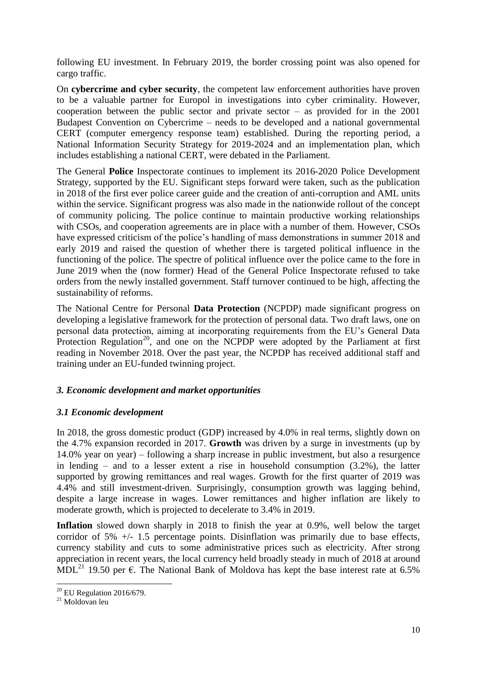following EU investment. In February 2019, the border crossing point was also opened for cargo traffic.

On **cybercrime and cyber security**, the competent law enforcement authorities have proven to be a valuable partner for Europol in investigations into cyber criminality. However, cooperation between the public sector and private sector  $-$  as provided for in the 2001 Budapest Convention on Cybercrime – needs to be developed and a national governmental CERT (computer emergency response team) established. During the reporting period, a National Information Security Strategy for 2019-2024 and an implementation plan, which includes establishing a national CERT, were debated in the Parliament.

The General **Police** Inspectorate continues to implement its 2016-2020 Police Development Strategy, supported by the EU. Significant steps forward were taken, such as the publication in 2018 of the first ever police career guide and the creation of anti-corruption and AML units within the service. Significant progress was also made in the nationwide rollout of the concept of community policing. The police continue to maintain productive working relationships with CSOs, and cooperation agreements are in place with a number of them. However, CSOs have expressed criticism of the police's handling of mass demonstrations in summer 2018 and early 2019 and raised the question of whether there is targeted political influence in the functioning of the police. The spectre of political influence over the police came to the fore in June 2019 when the (now former) Head of the General Police Inspectorate refused to take orders from the newly installed government. Staff turnover continued to be high, affecting the sustainability of reforms.

The National Centre for Personal **Data Protection** (NCPDP) made significant progress on developing a legislative framework for the protection of personal data. Two draft laws, one on personal data protection, aiming at incorporating requirements from the EU's General Data Protection Regulation<sup>20</sup>, and one on the NCPDP were adopted by the Parliament at first reading in November 2018. Over the past year, the NCPDP has received additional staff and training under an EU-funded twinning project.

## *3. Economic development and market opportunities*

## *3.1 Economic development*

In 2018, the gross domestic product (GDP) increased by 4.0% in real terms, slightly down on the 4.7% expansion recorded in 2017. **Growth** was driven by a surge in investments (up by 14.0% year on year) – following a sharp increase in public investment, but also a resurgence in lending – and to a lesser extent a rise in household consumption (3.2%), the latter supported by growing remittances and real wages. Growth for the first quarter of 2019 was 4.4% and still investment-driven. Surprisingly, consumption growth was lagging behind, despite a large increase in wages. Lower remittances and higher inflation are likely to moderate growth, which is projected to decelerate to 3.4% in 2019.

**Inflation** slowed down sharply in 2018 to finish the year at 0.9%, well below the target corridor of  $5\%$  +/- 1.5 percentage points. Disinflation was primarily due to base effects, currency stability and cuts to some administrative prices such as electricity. After strong appreciation in recent years, the local currency held broadly steady in much of 2018 at around MDL<sup>21</sup> 19.50 per  $\epsilon$ . The National Bank of Moldova has kept the base interest rate at 6.5%

<sup>1</sup>  $^{20}$  EU Regulation 2016/679.

<sup>21</sup> Moldovan leu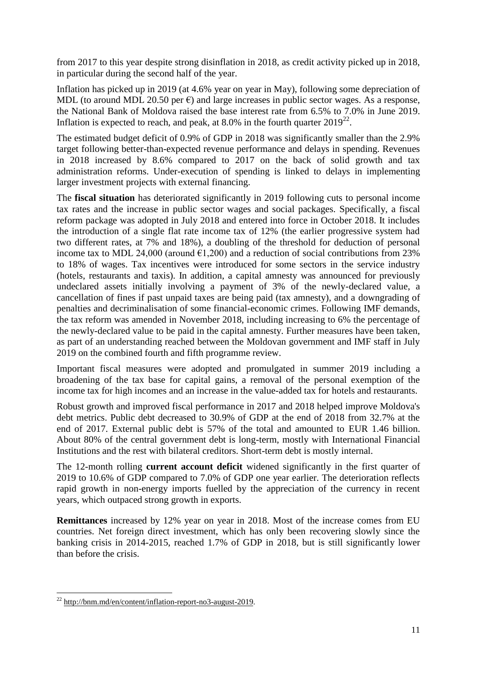from 2017 to this year despite strong disinflation in 2018, as credit activity picked up in 2018, in particular during the second half of the year.

Inflation has picked up in 2019 (at 4.6% year on year in May), following some depreciation of MDL (to around MDL 20.50 per  $\epsilon$ ) and large increases in public sector wages. As a response, the National Bank of Moldova raised the base interest rate from 6.5% to 7.0% in June 2019. Inflation is expected to reach, and peak, at 8.0% in the fourth quarter  $2019^{22}$ .

The estimated budget deficit of 0.9% of GDP in 2018 was significantly smaller than the 2.9% target following better-than-expected revenue performance and delays in spending. Revenues in 2018 increased by 8.6% compared to 2017 on the back of solid growth and tax administration reforms. Under-execution of spending is linked to delays in implementing larger investment projects with external financing.

The **fiscal situation** has deteriorated significantly in 2019 following cuts to personal income tax rates and the increase in public sector wages and social packages. Specifically, a fiscal reform package was adopted in July 2018 and entered into force in October 2018. It includes the introduction of a single flat rate income tax of 12% (the earlier progressive system had two different rates, at 7% and 18%), a doubling of the threshold for deduction of personal income tax to MDL 24,000 (around  $E1,200$ ) and a reduction of social contributions from 23% to 18% of wages. Tax incentives were introduced for some sectors in the service industry (hotels, restaurants and taxis). In addition, a capital amnesty was announced for previously undeclared assets initially involving a payment of 3% of the newly-declared value, a cancellation of fines if past unpaid taxes are being paid (tax amnesty), and a downgrading of penalties and decriminalisation of some financial-economic crimes. Following IMF demands, the tax reform was amended in November 2018, including increasing to 6% the percentage of the newly-declared value to be paid in the capital amnesty. Further measures have been taken, as part of an understanding reached between the Moldovan government and IMF staff in July 2019 on the combined fourth and fifth programme review.

Important fiscal measures were adopted and promulgated in summer 2019 including a broadening of the tax base for capital gains, a removal of the personal exemption of the income tax for high incomes and an increase in the value-added tax for hotels and restaurants.

Robust growth and improved fiscal performance in 2017 and 2018 helped improve Moldova's debt metrics. Public debt decreased to 30.9% of GDP at the end of 2018 from 32.7% at the end of 2017. External public debt is 57% of the total and amounted to EUR 1.46 billion. About 80% of the central government debt is long-term, mostly with International Financial Institutions and the rest with bilateral creditors. Short-term debt is mostly internal.

The 12-month rolling **current account deficit** widened significantly in the first quarter of 2019 to 10.6% of GDP compared to 7.0% of GDP one year earlier. The deterioration reflects rapid growth in non-energy imports fuelled by the appreciation of the currency in recent years, which outpaced strong growth in exports.

**Remittances** increased by 12% year on year in 2018. Most of the increase comes from EU countries. Net foreign direct investment, which has only been recovering slowly since the banking crisis in 2014-2015, reached 1.7% of GDP in 2018, but is still significantly lower than before the crisis.

**<sup>.</sup>** <sup>22</sup> [http://bnm.md/en/content/inflation-report-no3-august-2019.](http://bnm.md/en/content/inflation-report-no3-august-2019)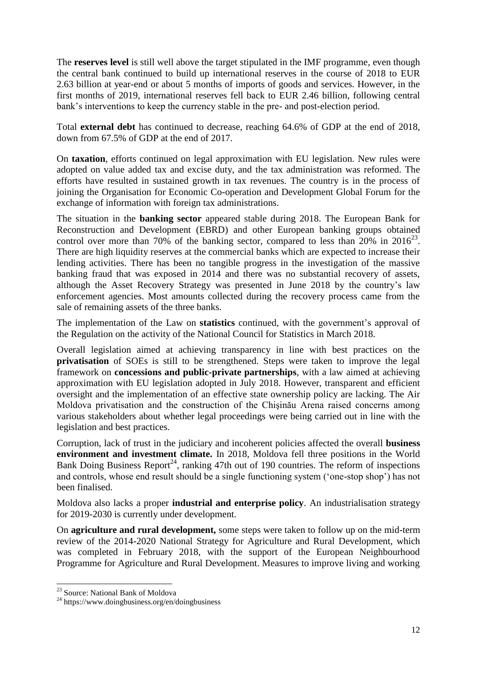The **reserves level** is still well above the target stipulated in the IMF programme, even though the central bank continued to build up international reserves in the course of 2018 to EUR 2.63 billion at year-end or about 5 months of imports of goods and services. However, in the first months of 2019, international reserves fell back to EUR 2.46 billion, following central bank's interventions to keep the currency stable in the pre- and post-election period.

Total **external debt** has continued to decrease, reaching 64.6% of GDP at the end of 2018, down from 67.5% of GDP at the end of 2017.

On **taxation**, efforts continued on legal approximation with EU legislation. New rules were adopted on value added tax and excise duty, and the tax administration was reformed. The efforts have resulted in sustained growth in tax revenues. The country is in the process of joining the Organisation for Economic Co-operation and Development Global Forum for the exchange of information with foreign tax administrations.

The situation in the **banking sector** appeared stable during 2018. The European Bank for Reconstruction and Development (EBRD) and other European banking groups obtained control over more than 70% of the banking sector, compared to less than  $20\%$  in  $2016^{23}$ . There are high liquidity reserves at the commercial banks which are expected to increase their lending activities. There has been no tangible progress in the investigation of the massive banking fraud that was exposed in 2014 and there was no substantial recovery of assets, although the Asset Recovery Strategy was presented in June 2018 by the country's law enforcement agencies. Most amounts collected during the recovery process came from the sale of remaining assets of the three banks.

The implementation of the Law on **statistics** continued, with the government's approval of the Regulation on the activity of the National Council for Statistics in March 2018.

Overall legislation aimed at achieving transparency in line with best practices on the **privatisation** of SOEs is still to be strengthened. Steps were taken to improve the legal framework on **concessions and public-private partnerships**, with a law aimed at achieving approximation with EU legislation adopted in July 2018. However, transparent and efficient oversight and the implementation of an effective state ownership policy are lacking. The Air Moldova privatisation and the construction of the Chişinău Arena raised concerns among various stakeholders about whether legal proceedings were being carried out in line with the legislation and best practices.

Corruption, lack of trust in the judiciary and incoherent policies affected the overall **business environment and investment climate.** In 2018, Moldova fell three positions in the World Bank Doing Business Report<sup>24</sup>, ranking 47th out of 190 countries. The reform of inspections and controls, whose end result should be a single functioning system ('one-stop shop') has not been finalised.

Moldova also lacks a proper **industrial and enterprise policy**. An industrialisation strategy for 2019-2030 is currently under development.

On **agriculture and rural development,** some steps were taken to follow up on the mid-term review of the 2014-2020 National Strategy for Agriculture and Rural Development, which was completed in February 2018, with the support of the European Neighbourhood Programme for Agriculture and Rural Development. Measures to improve living and working

<sup>1</sup> <sup>23</sup> Source: National Bank of Moldova

<sup>&</sup>lt;sup>24</sup> https://www.doingbusiness.org/en/doingbusiness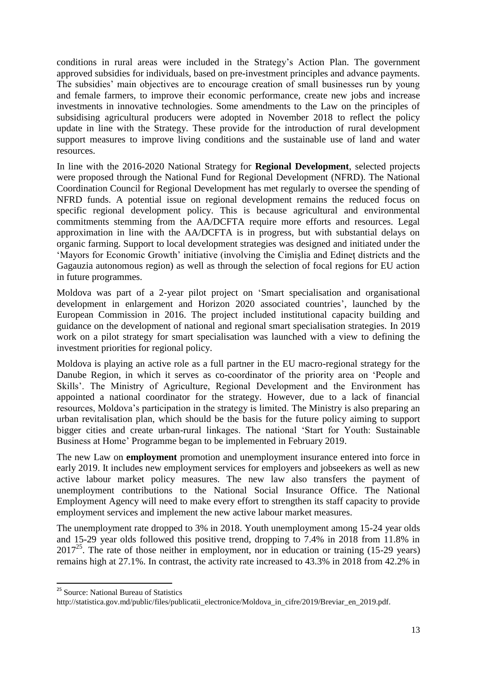conditions in rural areas were included in the Strategy's Action Plan. The government approved subsidies for individuals, based on pre-investment principles and advance payments. The subsidies' main objectives are to encourage creation of small businesses run by young and female farmers, to improve their economic performance, create new jobs and increase investments in innovative technologies. Some amendments to the Law on the principles of subsidising agricultural producers were adopted in November 2018 to reflect the policy update in line with the Strategy. These provide for the introduction of rural development support measures to improve living conditions and the sustainable use of land and water resources.

In line with the 2016-2020 National Strategy for **Regional Development**, selected projects were proposed through the National Fund for Regional Development (NFRD). The National Coordination Council for Regional Development has met regularly to oversee the spending of NFRD funds. A potential issue on regional development remains the reduced focus on specific regional development policy. This is because agricultural and environmental commitments stemming from the AA/DCFTA require more efforts and resources. Legal approximation in line with the AA/DCFTA is in progress, but with substantial delays on organic farming. Support to local development strategies was designed and initiated under the 'Mayors for Economic Growth' initiative (involving the Cimişlia and Edineţ districts and the Gagauzia autonomous region) as well as through the selection of focal regions for EU action in future programmes.

Moldova was part of a 2-year pilot project on 'Smart specialisation and organisational development in enlargement and Horizon 2020 associated countries', launched by the European Commission in 2016. The project included institutional capacity building and guidance on the development of national and regional smart specialisation strategies. In 2019 work on a pilot strategy for smart specialisation was launched with a view to defining the investment priorities for regional policy.

Moldova is playing an active role as a full partner in the EU macro-regional strategy for the Danube Region, in which it serves as co-coordinator of the priority area on 'People and Skills'. The Ministry of Agriculture, Regional Development and the Environment has appointed a national coordinator for the strategy. However, due to a lack of financial resources, Moldova's participation in the strategy is limited. The Ministry is also preparing an urban revitalisation plan, which should be the basis for the future policy aiming to support bigger cities and create urban-rural linkages. The national 'Start for Youth: Sustainable Business at Home' Programme began to be implemented in February 2019.

The new Law on **employment** promotion and unemployment insurance entered into force in early 2019. It includes new employment services for employers and jobseekers as well as new active labour market policy measures. The new law also transfers the payment of unemployment contributions to the National Social Insurance Office. The National Employment Agency will need to make every effort to strengthen its staff capacity to provide employment services and implement the new active labour market measures.

The unemployment rate dropped to 3% in 2018. Youth unemployment among 15-24 year olds and 15-29 year olds followed this positive trend, dropping to 7.4% in 2018 from 11.8% in  $2017^{25}$ . The rate of those neither in employment, nor in education or training (15-29 years) remains high at 27.1%. In contrast, the activity rate increased to 43.3% in 2018 from 42.2% in

1

<sup>&</sup>lt;sup>25</sup> Source: National Bureau of Statistics

http://statistica.gov.md/public/files/publicatii\_electronice/Moldova\_in\_cifre/2019/Breviar\_en\_2019.pdf.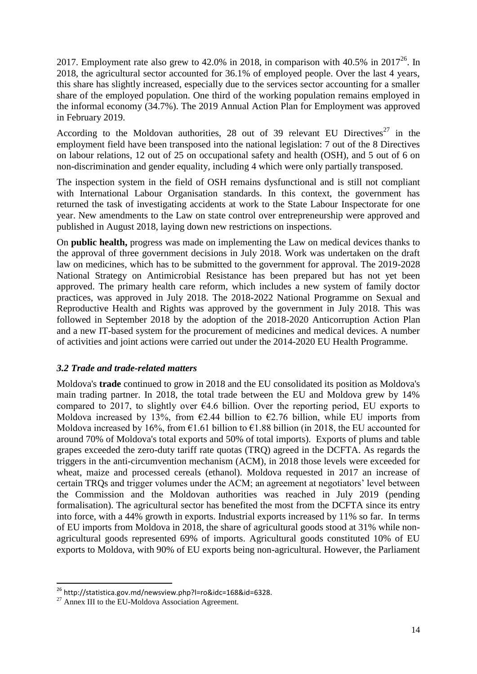2017. Employment rate also grew to 42.0% in 2018, in comparison with 40.5% in 2017<sup>26</sup>. In 2018, the agricultural sector accounted for 36.1% of employed people. Over the last 4 years, this share has slightly increased, especially due to the services sector accounting for a smaller share of the employed population. One third of the working population remains employed in the informal economy (34.7%). The 2019 Annual Action Plan for Employment was approved in February 2019.

According to the Moldovan authorities, 28 out of 39 relevant EU Directives<sup>27</sup> in the employment field have been transposed into the national legislation: 7 out of the 8 Directives on labour relations, 12 out of 25 on occupational safety and health (OSH), and 5 out of 6 on non-discrimination and gender equality, including 4 which were only partially transposed.

The inspection system in the field of OSH remains dysfunctional and is still not compliant with International Labour Organisation standards. In this context, the government has returned the task of investigating accidents at work to the State Labour Inspectorate for one year. New amendments to the Law on state control over entrepreneurship were approved and published in August 2018, laying down new restrictions on inspections.

On **public health,** progress was made on implementing the Law on medical devices thanks to the approval of three government decisions in July 2018. Work was undertaken on the draft law on medicines, which has to be submitted to the government for approval. The 2019-2028 National Strategy on Antimicrobial Resistance has been prepared but has not yet been approved. The primary health care reform, which includes a new system of family doctor practices, was approved in July 2018. The 2018-2022 National Programme on Sexual and Reproductive Health and Rights was approved by the government in July 2018. This was followed in September 2018 by the adoption of the 2018-2020 Anticorruption Action Plan and a new IT-based system for the procurement of medicines and medical devices. A number of activities and joint actions were carried out under the 2014-2020 EU Health Programme.

## *3.2 Trade and trade-related matters*

Moldova's **trade** continued to grow in 2018 and the EU consolidated its position as Moldova's main trading partner. In 2018, the total trade between the EU and Moldova grew by 14% compared to 2017, to slightly over  $64.6$  billion. Over the reporting period, EU exports to Moldova increased by 13%, from  $\epsilon$ 2.44 billion to  $\epsilon$ 2.76 billion, while EU imports from Moldova increased by 16%, from  $\epsilon$ 1.61 billion to  $\epsilon$ 1.88 billion (in 2018, the EU accounted for around 70% of Moldova's total exports and 50% of total imports). Exports of plums and table grapes exceeded the zero-duty tariff rate quotas (TRQ) agreed in the DCFTA. As regards the triggers in the anti-circumvention mechanism (ACM), in 2018 those levels were exceeded for wheat, maize and processed cereals (ethanol). Moldova requested in 2017 an increase of certain TRQs and trigger volumes under the ACM; an agreement at negotiators' level between the Commission and the Moldovan authorities was reached in July 2019 (pending formalisation). The agricultural sector has benefited the most from the DCFTA since its entry into force, with a 44% growth in exports. Industrial exports increased by 11% so far. In terms of EU imports from Moldova in 2018, the share of agricultural goods stood at 31% while nonagricultural goods represented 69% of imports. Agricultural goods constituted 10% of EU exports to Moldova, with 90% of EU exports being non-agricultural. However, the Parliament

1

<sup>&</sup>lt;sup>26</sup> http://statistica.gov.md/newsview.php?l=ro&idc=168&id=6328.

 $^{27}$  Annex III to the EU-Moldova Association Agreement.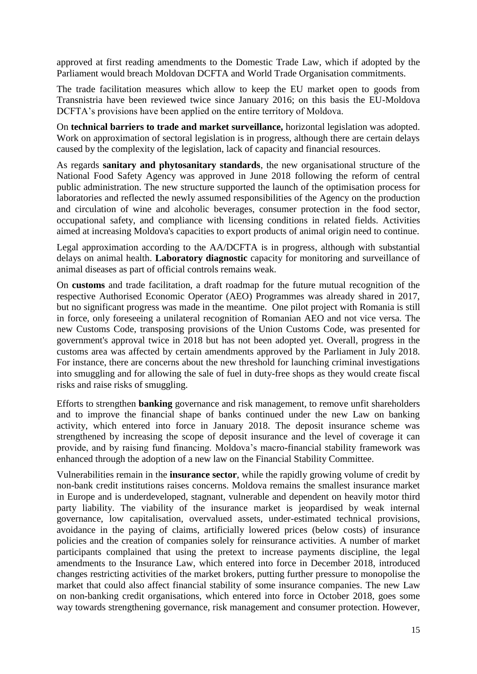approved at first reading amendments to the Domestic Trade Law, which if adopted by the Parliament would breach Moldovan DCFTA and World Trade Organisation commitments.

The trade facilitation measures which allow to keep the EU market open to goods from Transnistria have been reviewed twice since January 2016; on this basis the EU-Moldova DCFTA's provisions have been applied on the entire territory of Moldova.

On **technical barriers to trade and market surveillance,** horizontal legislation was adopted. Work on approximation of sectoral legislation is in progress, although there are certain delays caused by the complexity of the legislation, lack of capacity and financial resources.

As regards **sanitary and phytosanitary standards**, the new organisational structure of the National Food Safety Agency was approved in June 2018 following the reform of central public administration. The new structure supported the launch of the optimisation process for laboratories and reflected the newly assumed responsibilities of the Agency on the production and circulation of wine and alcoholic beverages, consumer protection in the food sector, occupational safety, and compliance with licensing conditions in related fields. Activities aimed at increasing Moldova's capacities to export products of animal origin need to continue.

Legal approximation according to the AA/DCFTA is in progress, although with substantial delays on animal health. **Laboratory diagnostic** capacity for monitoring and surveillance of animal diseases as part of official controls remains weak.

On **customs** and trade facilitation, a draft roadmap for the future mutual recognition of the respective Authorised Economic Operator (AEO) Programmes was already shared in 2017, but no significant progress was made in the meantime. One pilot project with Romania is still in force, only foreseeing a unilateral recognition of Romanian AEO and not vice versa. The new Customs Code, transposing provisions of the Union Customs Code, was presented for government's approval twice in 2018 but has not been adopted yet. Overall, progress in the customs area was affected by certain amendments approved by the Parliament in July 2018. For instance, there are concerns about the new threshold for launching criminal investigations into smuggling and for allowing the sale of fuel in duty-free shops as they would create fiscal risks and raise risks of smuggling.

Efforts to strengthen **banking** governance and risk management, to remove unfit shareholders and to improve the financial shape of banks continued under the new Law on banking activity, which entered into force in January 2018. The deposit insurance scheme was strengthened by increasing the scope of deposit insurance and the level of coverage it can provide, and by raising fund financing. Moldova's macro-financial stability framework was enhanced through the adoption of a new law on the Financial Stability Committee.

Vulnerabilities remain in the **insurance sector**, while the rapidly growing volume of credit by non-bank credit institutions raises concerns. Moldova remains the smallest insurance market in Europe and is underdeveloped, stagnant, vulnerable and dependent on heavily motor third party liability. The viability of the insurance market is jeopardised by weak internal governance, low capitalisation, overvalued assets, under-estimated technical provisions, avoidance in the paying of claims, artificially lowered prices (below costs) of insurance policies and the creation of companies solely for reinsurance activities. A number of market participants complained that using the pretext to increase payments discipline, the legal amendments to the Insurance Law, which entered into force in December 2018, introduced changes restricting activities of the market brokers, putting further pressure to monopolise the market that could also affect financial stability of some insurance companies. The new Law on non-banking credit organisations, which entered into force in October 2018, goes some way towards strengthening governance, risk management and consumer protection. However,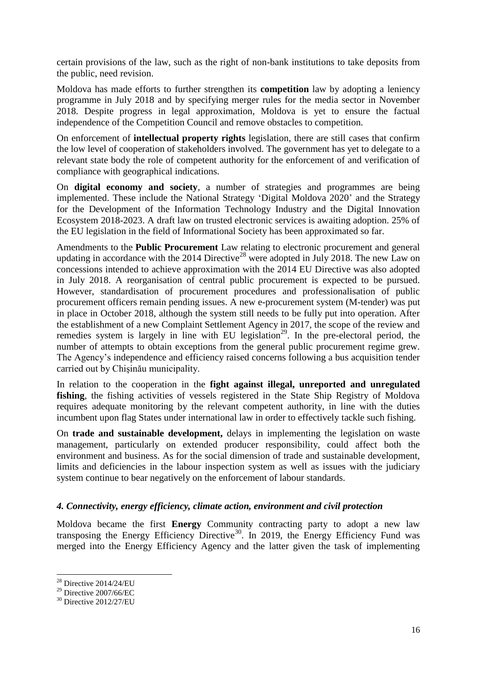certain provisions of the law, such as the right of non-bank institutions to take deposits from the public, need revision.

Moldova has made efforts to further strengthen its **competition** law by adopting a leniency programme in July 2018 and by specifying merger rules for the media sector in November 2018. Despite progress in legal approximation, Moldova is yet to ensure the factual independence of the Competition Council and remove obstacles to competition.

On enforcement of **intellectual property rights** legislation, there are still cases that confirm the low level of cooperation of stakeholders involved. The government has yet to delegate to a relevant state body the role of competent authority for the enforcement of and verification of compliance with geographical indications.

On **digital economy and society**, a number of strategies and programmes are being implemented. These include the National Strategy 'Digital Moldova 2020' and the Strategy for the Development of the Information Technology Industry and the Digital Innovation Ecosystem 2018-2023. A draft law on trusted electronic services is awaiting adoption. 25% of the EU legislation in the field of Informational Society has been approximated so far.

Amendments to the **Public Procurement** Law relating to electronic procurement and general updating in accordance with the 2014 Directive<sup>28</sup> were adopted in July 2018. The new Law on concessions intended to achieve approximation with the 2014 EU Directive was also adopted in July 2018. A reorganisation of central public procurement is expected to be pursued. However, standardisation of procurement procedures and professionalisation of public procurement officers remain pending issues. A new e-procurement system (M-tender) was put in place in October 2018, although the system still needs to be fully put into operation. After the establishment of a new Complaint Settlement Agency in 2017, the scope of the review and remedies system is largely in line with EU legislation<sup>29</sup>. In the pre-electoral period, the number of attempts to obtain exceptions from the general public procurement regime grew. The Agency's independence and efficiency raised concerns following a bus acquisition tender carried out by Chişinău municipality.

In relation to the cooperation in the **fight against illegal, unreported and unregulated fishing**, the fishing activities of vessels registered in the State Ship Registry of Moldova requires adequate monitoring by the relevant competent authority, in line with the duties incumbent upon flag States under international law in order to effectively tackle such fishing.

On **trade and sustainable development,** delays in implementing the legislation on waste management, particularly on extended producer responsibility, could affect both the environment and business. As for the social dimension of trade and sustainable development, limits and deficiencies in the labour inspection system as well as issues with the judiciary system continue to bear negatively on the enforcement of labour standards.

## *4. Connectivity, energy efficiency, climate action, environment and civil protection*

Moldova became the first **Energy** Community contracting party to adopt a new law transposing the Energy Efficiency Directive<sup>30</sup>. In 2019, the Energy Efficiency Fund was merged into the Energy Efficiency Agency and the latter given the task of implementing

 $\overline{a}$ 

 $28$  Directive 2014/24/EU

 $^{29}$  Directive 2007/66/EC

<sup>30</sup> Directive 2012/27/EU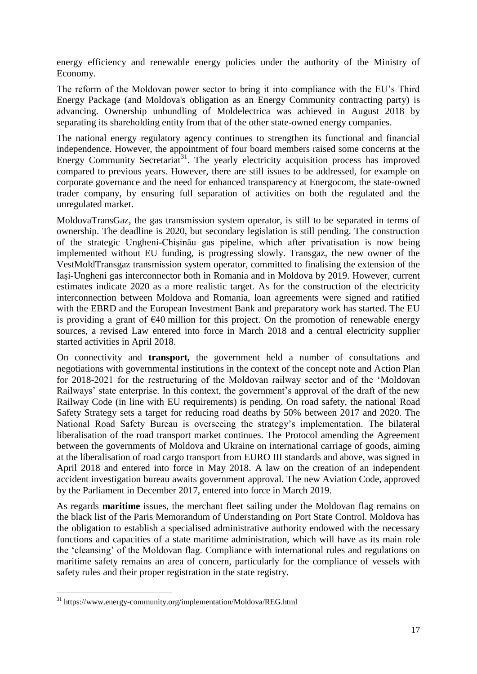energy efficiency and renewable energy policies under the authority of the Ministry of Economy.

The reform of the Moldovan power sector to bring it into compliance with the EU's Third Energy Package (and Moldova's obligation as an Energy Community contracting party) is advancing. Ownership unbundling of Moldelectrica was achieved in August 2018 by separating its shareholding entity from that of the other state-owned energy companies.

The national energy regulatory agency continues to strengthen its functional and financial independence. However, the appointment of four board members raised some concerns at the Energy Community Secretariat<sup>31</sup>. The yearly electricity acquisition process has improved compared to previous years. However, there are still issues to be addressed, for example on corporate governance and the need for enhanced transparency at Energocom, the state-owned trader company, by ensuring full separation of activities on both the regulated and the unregulated market.

MoldovaTransGaz, the gas transmission system operator, is still to be separated in terms of ownership. The deadline is 2020, but secondary legislation is still pending. The construction of the strategic Ungheni-Chişinău gas pipeline, which after privatisation is now being implemented without EU funding, is progressing slowly. Transgaz, the new owner of the VestMoldTransgaz transmission system operator, committed to finalising the extension of the Iaşi-Ungheni gas interconnector both in Romania and in Moldova by 2019. However, current estimates indicate 2020 as a more realistic target. As for the construction of the electricity interconnection between Moldova and Romania, loan agreements were signed and ratified with the EBRD and the European Investment Bank and preparatory work has started. The EU is providing a grant of  $\epsilon$ 40 million for this project. On the promotion of renewable energy sources, a revised Law entered into force in March 2018 and a central electricity supplier started activities in April 2018.

On connectivity and **transport,** the government held a number of consultations and negotiations with governmental institutions in the context of the concept note and Action Plan for 2018-2021 for the restructuring of the Moldovan railway sector and of the 'Moldovan Railways' state enterprise. In this context, the government's approval of the draft of the new Railway Code (in line with EU requirements) is pending. On road safety, the national Road Safety Strategy sets a target for reducing road deaths by 50% between 2017 and 2020. The National Road Safety Bureau is overseeing the strategy's implementation. The bilateral liberalisation of the road transport market continues. The Protocol amending the Agreement between the governments of Moldova and Ukraine on international carriage of goods, aiming at the liberalisation of road cargo transport from EURO III standards and above, was signed in April 2018 and entered into force in May 2018. A law on the creation of an independent accident investigation bureau awaits government approval. The new Aviation Code, approved by the Parliament in December 2017, entered into force in March 2019.

As regards **maritime** issues, the merchant fleet sailing under the Moldovan flag remains on the black list of the Paris Memorandum of Understanding on Port State Control. Moldova has the obligation to establish a specialised administrative authority endowed with the necessary functions and capacities of a state maritime administration, which will have as its main role the 'cleansing' of the Moldovan flag. Compliance with international rules and regulations on maritime safety remains an area of concern, particularly for the compliance of vessels with safety rules and their proper registration in the state registry.

**<sup>.</sup>** <sup>31</sup> https://www.energy-community.org/implementation/Moldova/REG.html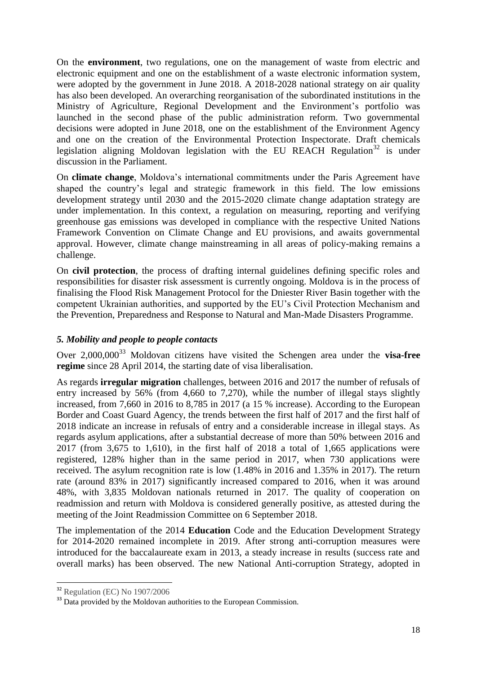On the **environment**, two regulations, one on the management of waste from electric and electronic equipment and one on the establishment of a waste electronic information system, were adopted by the government in June 2018. A 2018-2028 national strategy on air quality has also been developed. An overarching reorganisation of the subordinated institutions in the Ministry of Agriculture, Regional Development and the Environment's portfolio was launched in the second phase of the public administration reform. Two governmental decisions were adopted in June 2018, one on the establishment of the Environment Agency and one on the creation of the Environmental Protection Inspectorate. Draft chemicals legislation aligning Moldovan legislation with the EU REACH Regulation<sup>32</sup> is under discussion in the Parliament.

On **climate change**, Moldova's international commitments under the Paris Agreement have shaped the country's legal and strategic framework in this field. The low emissions development strategy until 2030 and the 2015-2020 climate change adaptation strategy are under implementation. In this context, a regulation on measuring, reporting and verifying greenhouse gas emissions was developed in compliance with the respective United Nations Framework Convention on Climate Change and EU provisions, and awaits governmental approval. However, climate change mainstreaming in all areas of policy-making remains a challenge.

On **civil protection**, the process of drafting internal guidelines defining specific roles and responsibilities for disaster risk assessment is currently ongoing. Moldova is in the process of finalising the Flood Risk Management Protocol for the Dniester River Basin together with the competent Ukrainian authorities, and supported by the EU's Civil Protection Mechanism and the Prevention, Preparedness and Response to Natural and Man-Made Disasters Programme.

## *5. Mobility and people to people contacts*

Over 2,000,000<sup>33</sup> Moldovan citizens have visited the Schengen area under the **visa-free regime** since 28 April 2014, the starting date of visa liberalisation.

As regards **irregular migration** challenges, between 2016 and 2017 the number of refusals of entry increased by 56% (from 4,660 to 7,270), while the number of illegal stays slightly increased, from 7,660 in 2016 to 8,785 in 2017 (a 15 % increase). According to the European Border and Coast Guard Agency, the trends between the first half of 2017 and the first half of 2018 indicate an increase in refusals of entry and a considerable increase in illegal stays. As regards asylum applications, after a substantial decrease of more than 50% between 2016 and 2017 (from 3,675 to 1,610), in the first half of 2018 a total of 1,665 applications were registered, 128% higher than in the same period in 2017, when 730 applications were received. The asylum recognition rate is low (1.48% in 2016 and 1.35% in 2017). The return rate (around 83% in 2017) significantly increased compared to 2016, when it was around 48%, with 3,835 Moldovan nationals returned in 2017. The quality of cooperation on readmission and return with Moldova is considered generally positive, as attested during the meeting of the Joint Readmission Committee on 6 September 2018.

The implementation of the 2014 **Education** Code and the Education Development Strategy for 2014-2020 remained incomplete in 2019. After strong anti-corruption measures were introduced for the baccalaureate exam in 2013, a steady increase in results (success rate and overall marks) has been observed. The new National Anti-corruption Strategy, adopted in

**.** 

 $32$  Regulation (EC) No 1907/2006

<sup>&</sup>lt;sup>33</sup> Data provided by the Moldovan authorities to the European Commission.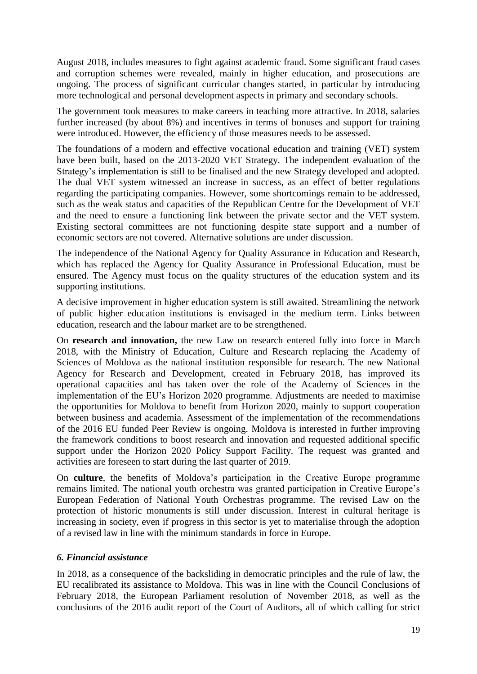August 2018, includes measures to fight against academic fraud. Some significant fraud cases and corruption schemes were revealed, mainly in higher education, and prosecutions are ongoing. The process of significant curricular changes started, in particular by introducing more technological and personal development aspects in primary and secondary schools.

The government took measures to make careers in teaching more attractive. In 2018, salaries further increased (by about 8%) and incentives in terms of bonuses and support for training were introduced. However, the efficiency of those measures needs to be assessed.

The foundations of a modern and effective vocational education and training (VET) system have been built, based on the 2013-2020 VET Strategy. The independent evaluation of the Strategy's implementation is still to be finalised and the new Strategy developed and adopted. The dual VET system witnessed an increase in success, as an effect of better regulations regarding the participating companies. However, some shortcomings remain to be addressed, such as the weak status and capacities of the Republican Centre for the Development of VET and the need to ensure a functioning link between the private sector and the VET system. Existing sectoral committees are not functioning despite state support and a number of economic sectors are not covered. Alternative solutions are under discussion.

The independence of the National Agency for Quality Assurance in Education and Research, which has replaced the Agency for Quality Assurance in Professional Education, must be ensured. The Agency must focus on the quality structures of the education system and its supporting institutions.

A decisive improvement in higher education system is still awaited. Streamlining the network of public higher education institutions is envisaged in the medium term. Links between education, research and the labour market are to be strengthened.

On **research and innovation,** the new Law on research entered fully into force in March 2018, with the Ministry of Education, Culture and Research replacing the Academy of Sciences of Moldova as the national institution responsible for research. The new National Agency for Research and Development, created in February 2018, has improved its operational capacities and has taken over the role of the Academy of Sciences in the implementation of the EU's Horizon 2020 programme. Adjustments are needed to maximise the opportunities for Moldova to benefit from Horizon 2020, mainly to support cooperation between business and academia. Assessment of the implementation of the recommendations of the 2016 EU funded Peer Review is ongoing. Moldova is interested in further improving the framework conditions to boost research and innovation and requested additional specific support under the Horizon 2020 Policy Support Facility. The request was granted and activities are foreseen to start during the last quarter of 2019.

On **culture**, the benefits of Moldova's participation in the Creative Europe programme remains limited. The national youth orchestra was granted participation in Creative Europe's European Federation of National Youth Orchestras programme. The revised Law on the protection of historic monuments is still under discussion. Interest in cultural heritage is increasing in society, even if progress in this sector is yet to materialise through the adoption of a revised law in line with the minimum standards in force in Europe.

## *6. Financial assistance*

In 2018, as a consequence of the backsliding in democratic principles and the rule of law, the EU recalibrated its assistance to Moldova. This was in line with the Council Conclusions of February 2018, the European Parliament resolution of November 2018, as well as the conclusions of the 2016 audit report of the Court of Auditors, all of which calling for strict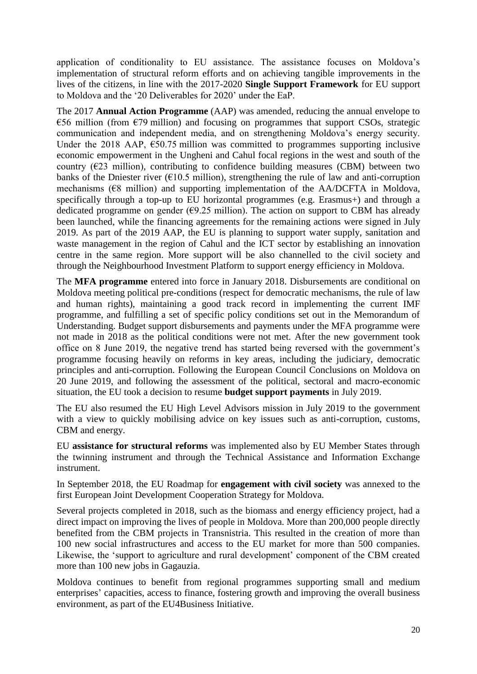application of conditionality to EU assistance. The assistance focuses on Moldova's implementation of structural reform efforts and on achieving tangible improvements in the lives of the citizens, in line with the 2017-2020 **Single Support Framework** for EU support to Moldova and the '20 Deliverables for 2020' under the EaP.

The 2017 **Annual Action Programme** (AAP) was amended, reducing the annual envelope to  $\epsilon$ 56 million (from  $\epsilon$ 79 million) and focusing on programmes that support CSOs, strategic communication and independent media, and on strengthening Moldova's energy security. Under the 2018 AAP,  $\epsilon$ 50.75 million was committed to programmes supporting inclusive economic empowerment in the Ungheni and Cahul focal regions in the west and south of the country ( $E23$  million), contributing to confidence building measures (CBM) between two banks of the Dniester river ( $\epsilon$ 10.5 million), strengthening the rule of law and anti-corruption mechanisms ( $68$  million) and supporting implementation of the AA/DCFTA in Moldova, specifically through a top-up to EU horizontal programmes (e.g. Erasmus+) and through a dedicated programme on gender ( $\epsilon$ 9.25 million). The action on support to CBM has already been launched, while the financing agreements for the remaining actions were signed in July 2019. As part of the 2019 AAP, the EU is planning to support water supply, sanitation and waste management in the region of Cahul and the ICT sector by establishing an innovation centre in the same region. More support will be also channelled to the civil society and through the Neighbourhood Investment Platform to support energy efficiency in Moldova.

The **MFA programme** entered into force in January 2018. Disbursements are conditional on Moldova meeting political pre-conditions (respect for democratic mechanisms, the rule of law and human rights), maintaining a good track record in implementing the current IMF programme, and fulfilling a set of specific policy conditions set out in the Memorandum of Understanding. Budget support disbursements and payments under the MFA programme were not made in 2018 as the political conditions were not met. After the new government took office on 8 June 2019, the negative trend has started being reversed with the government's programme focusing heavily on reforms in key areas, including the judiciary, democratic principles and anti-corruption. Following the European Council Conclusions on Moldova on 20 June 2019, and following the assessment of the political, sectoral and macro-economic situation, the EU took a decision to resume **budget support payments** in July 2019.

The EU also resumed the EU High Level Advisors mission in July 2019 to the government with a view to quickly mobilising advice on key issues such as anti-corruption, customs, CBM and energy.

EU **assistance for structural reforms** was implemented also by EU Member States through the twinning instrument and through the Technical Assistance and Information Exchange instrument.

In September 2018, the EU Roadmap for **engagement with civil society** was annexed to the first European Joint Development Cooperation Strategy for Moldova.

Several projects completed in 2018, such as the biomass and energy efficiency project, had a direct impact on improving the lives of people in Moldova. More than 200,000 people directly benefited from the CBM projects in Transnistria. This resulted in the creation of more than 100 new social infrastructures and access to the EU market for more than 500 companies. Likewise, the 'support to agriculture and rural development' component of the CBM created more than 100 new jobs in Gagauzia.

Moldova continues to benefit from regional programmes supporting small and medium enterprises' capacities, access to finance, fostering growth and improving the overall business environment, as part of the EU4Business Initiative.